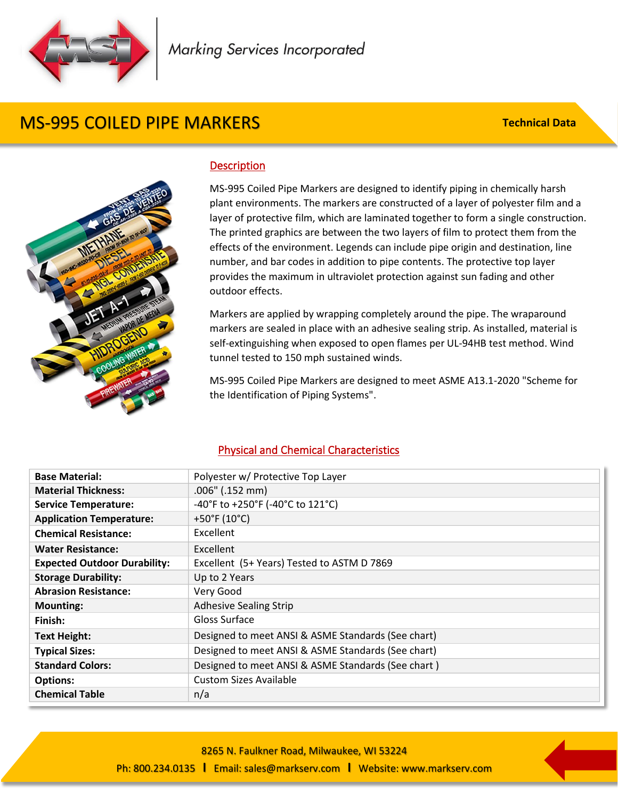

# MS-995 COILED PIPE MARKERS

**Technical Data**



#### **Description**

MS-995 Coiled Pipe Markers are designed to identify piping in chemically harsh plant environments. The markers are constructed of a layer of polyester film and a layer of protective film, which are laminated together to form a single construction. The printed graphics are between the two layers of film to protect them from the effects of the environment. Legends can include pipe origin and destination, line number, and bar codes in addition to pipe contents. The protective top layer provides the maximum in ultraviolet protection against sun fading and other outdoor effects.

 tunnel tested to 150 mph sustained winds. Markers are applied by wrapping completely around the pipe. The wraparound markers are sealed in place with an adhesive sealing strip. As installed, material is self-extinguishing when exposed to open flames per UL-94HB test method. Wind

MS-995 Coiled Pipe Markers are designed to meet ASME A13.1-2020 "Scheme for the Identification of Piping Systems".

### Physical and Chemical Characteristics

| <b>Base Material:</b>               | Polyester w/ Protective Top Layer                  |
|-------------------------------------|----------------------------------------------------|
| <b>Material Thickness:</b>          | $.006"$ (.152 mm)                                  |
| <b>Service Temperature:</b>         | -40°F to +250°F (-40°C to 121°C)                   |
| <b>Application Temperature:</b>     | +50°F (10°C)                                       |
| <b>Chemical Resistance:</b>         | <b>Excellent</b>                                   |
| <b>Water Resistance:</b>            | Excellent                                          |
| <b>Expected Outdoor Durability:</b> | Excellent (5+ Years) Tested to ASTM D 7869         |
| <b>Storage Durability:</b>          | Up to 2 Years                                      |
| <b>Abrasion Resistance:</b>         | Very Good                                          |
| <b>Mounting:</b>                    | <b>Adhesive Sealing Strip</b>                      |
| Finish:                             | Gloss Surface                                      |
| <b>Text Height:</b>                 | Designed to meet ANSI & ASME Standards (See chart) |
| <b>Typical Sizes:</b>               | Designed to meet ANSI & ASME Standards (See chart) |
| <b>Standard Colors:</b>             | Designed to meet ANSI & ASME Standards (See chart) |
| <b>Options:</b>                     | <b>Custom Sizes Available</b>                      |
| <b>Chemical Table</b>               | n/a                                                |